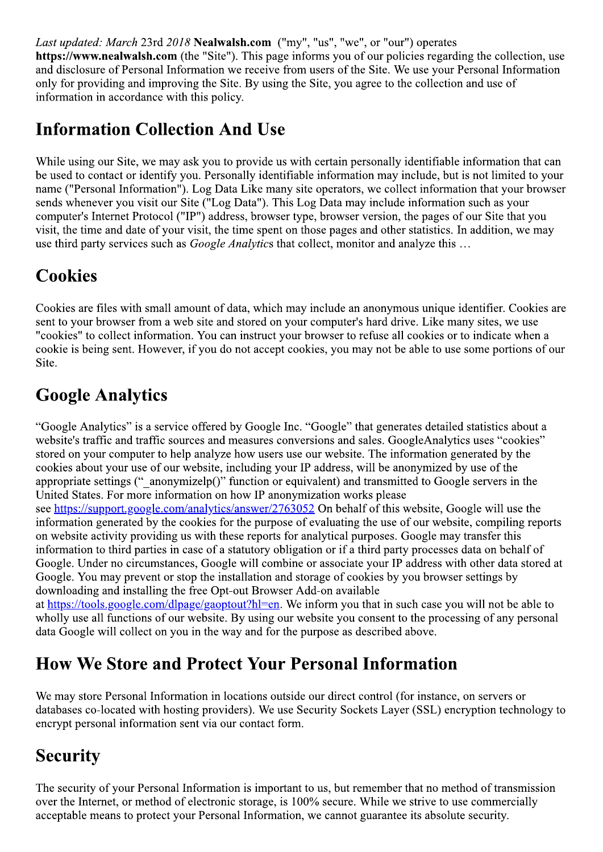Last updated: March 23rd 2018 Nealwalsh.com ("my", "us", "we", or "our") operates

https://www.nealwalsh.com (the "Site"). This page informs you of our policies regarding the collection, use and disclosure of Personal Information we receive from users of the Site. We use your Personal Information only for providing and improving the Site. By using the Site, you agree to the collection and use of information in accordance with this policy.

## **Information Collection And Use**

While using our Site, we may ask you to provide us with certain personally identifiable information that can be used to contact or identify you. Personally identifiable information may include, but is not limited to your name ("Personal Information"). Log Data Like many site operators, we collect information that your browser sends whenever you visit our Site ("Log Data"). This Log Data may include information such as your computer's Internet Protocol ("IP") address, browser type, browser version, the pages of our Site that you visit, the time and date of your visit, the time spent on those pages and other statistics. In addition, we may use third party services such as *Google Analytics* that collect, monitor and analyze this ...

### **Cookies**

Cookies are files with small amount of data, which may include an anonymous unique identifier. Cookies are sent to your browser from a web site and stored on your computer's hard drive. Like many sites, we use "cookies" to collect information. You can instruct your browser to refuse all cookies or to indicate when a cookie is being sent. However, if you do not accept cookies, you may not be able to use some portions of our Site.

# **Google Analytics**

"Google Analytics" is a service offered by Google Inc. "Google" that generates detailed statistics about a website's traffic and traffic sources and measures conversions and sales. GoogleAnalytics uses "cookies" stored on your computer to help analyze how users use our website. The information generated by the cookies about your use of our website, including your IP address, will be anonymized by use of the appropriate settings ("anonymizelp()" function or equivalent) and transmitted to Google servers in the United States. For more information on how IP anonymization works please see https://support.google.com/analytics/answer/2763052 On behalf of this website. Google will use the information generated by the cookies for the purpose of evaluating the use of our website, compiling reports on website activity providing us with these reports for analytical purposes. Google may transfer this information to third parties in case of a statutory obligation or if a third party processes data on behalf of Google. Under no circumstances, Google will combine or associate your IP address with other data stored at Google. You may prevent or stop the installation and storage of cookies by you browser settings by downloading and installing the free Opt-out Browser Add-on available

at https://tools.google.com/dlpage/gaoptout?hl=en. We inform you that in such case you will not be able to wholly use all functions of our website. By using our website you consent to the processing of any personal data Google will collect on you in the way and for the purpose as described above.

## **How We Store and Protect Your Personal Information**

We may store Personal Information in locations outside our direct control (for instance, on servers or databases co-located with hosting providers). We use Security Sockets Layer (SSL) encryption technology to encrypt personal information sent via our contact form.

# **Security**

The security of your Personal Information is important to us, but remember that no method of transmission over the Internet, or method of electronic storage, is 100% secure. While we strive to use commercially acceptable means to protect your Personal Information, we cannot guarantee its absolute security.